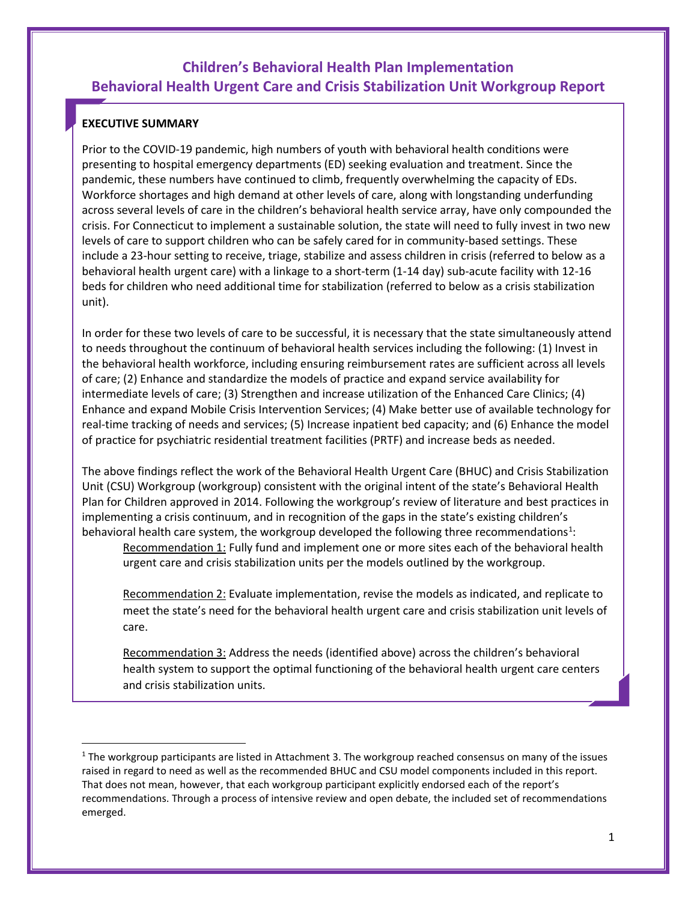# **Children's Behavioral Health Plan Implementation Behavioral Health Urgent Care and Crisis Stabilization Unit Workgroup Report**

### **EXECUTIVE SUMMARY**

Prior to the COVID-19 pandemic, high numbers of youth with behavioral health conditions were presenting to hospital emergency departments (ED) seeking evaluation and treatment. Since the pandemic, these numbers have continued to climb, frequently overwhelming the capacity of EDs. Workforce shortages and high demand at other levels of care, along with longstanding underfunding across several levels of care in the children's behavioral health service array, have only compounded the crisis. For Connecticut to implement a sustainable solution, the state will need to fully invest in two new levels of care to support children who can be safely cared for in community-based settings. These include a 23-hour setting to receive, triage, stabilize and assess children in crisis (referred to below as a behavioral health urgent care) with a linkage to a short-term (1-14 day) sub-acute facility with 12-16 beds for children who need additional time for stabilization (referred to below as a crisis stabilization unit).

In order for these two levels of care to be successful, it is necessary that the state simultaneously attend to needs throughout the continuum of behavioral health services including the following: (1) Invest in the behavioral health workforce, including ensuring reimbursement rates are sufficient across all levels of care; (2) Enhance and standardize the models of practice and expand service availability for intermediate levels of care; (3) Strengthen and increase utilization of the Enhanced Care Clinics; (4) Enhance and expand Mobile Crisis Intervention Services; (4) Make better use of available technology for real-time tracking of needs and services; (5) Increase inpatient bed capacity; and (6) Enhance the model of practice for psychiatric residential treatment facilities (PRTF) and increase beds as needed.

The above findings reflect the work of the Behavioral Health Urgent Care (BHUC) and Crisis Stabilization Unit (CSU) Workgroup (workgroup) consistent with the original intent of the state's Behavioral Health Plan for Children approved in 2014. Following the workgroup's review of literature and best practices in implementing a crisis continuum, and in recognition of the gaps in the state's existing children's behavioral health care system, the workgroup developed the following three recommendations<sup>[1](#page-0-0)</sup>:

Recommendation 1: Fully fund and implement one or more sites each of the behavioral health urgent care and crisis stabilization units per the models outlined by the workgroup.

Recommendation 2: Evaluate implementation, revise the models as indicated, and replicate to meet the state's need for the behavioral health urgent care and crisis stabilization unit levels of care.

Recommendation 3: Address the needs (identified above) across the children's behavioral health system to support the optimal functioning of the behavioral health urgent care centers and crisis stabilization units.

<span id="page-0-0"></span> $1$  The workgroup participants are listed in Attachment 3. The workgroup reached consensus on many of the issues raised in regard to need as well as the recommended BHUC and CSU model components included in this report. That does not mean, however, that each workgroup participant explicitly endorsed each of the report's recommendations. Through a process of intensive review and open debate, the included set of recommendations emerged.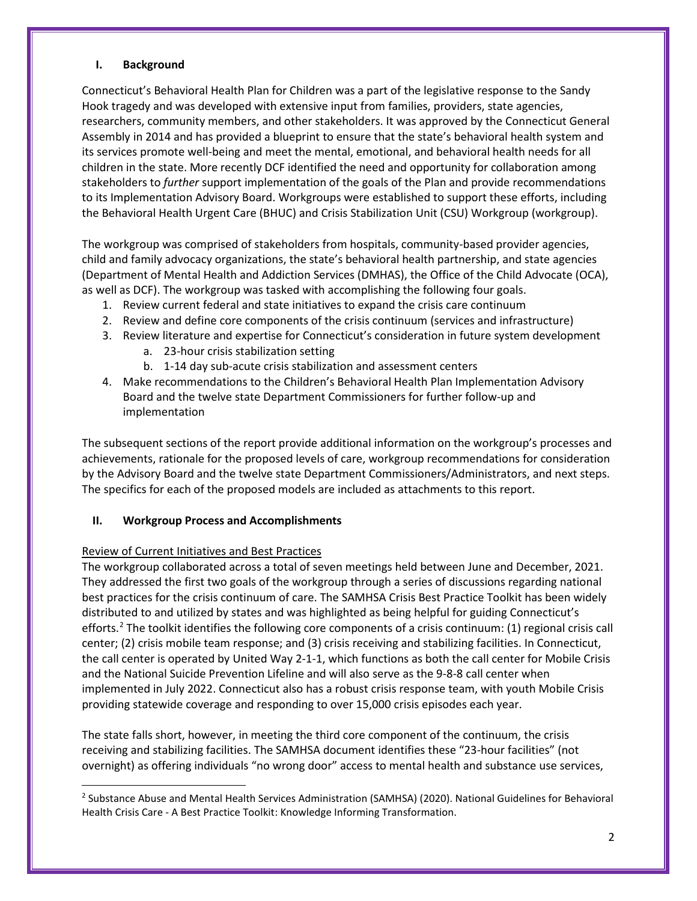#### **I. Background**

Connecticut's Behavioral Health Plan for Children was a part of the legislative response to the Sandy Hook tragedy and was developed with extensive input from families, providers, state agencies, researchers, community members, and other stakeholders. It was approved by the Connecticut General Assembly in 2014 and has provided a blueprint to ensure that the state's behavioral health system and its services promote well-being and meet the mental, emotional, and behavioral health needs for all children in the state. More recently DCF identified the need and opportunity for collaboration among stakeholders to *further* support implementation of the goals of the Plan and provide recommendations to its Implementation Advisory Board. Workgroups were established to support these efforts, including the Behavioral Health Urgent Care (BHUC) and Crisis Stabilization Unit (CSU) Workgroup (workgroup).

The workgroup was comprised of stakeholders from hospitals, community-based provider agencies, child and family advocacy organizations, the state's behavioral health partnership, and state agencies (Department of Mental Health and Addiction Services (DMHAS), the Office of the Child Advocate (OCA), as well as DCF). The workgroup was tasked with accomplishing the following four goals.

- 1. Review current federal and state initiatives to expand the crisis care continuum
- 2. Review and define core components of the crisis continuum (services and infrastructure)
- 3. Review literature and expertise for Connecticut's consideration in future system development a. 23-hour crisis stabilization setting
	- b. 1-14 day sub-acute crisis stabilization and assessment centers
- 4. Make recommendations to the Children's Behavioral Health Plan Implementation Advisory Board and the twelve state Department Commissioners for further follow-up and implementation

The subsequent sections of the report provide additional information on the workgroup's processes and achievements, rationale for the proposed levels of care, workgroup recommendations for consideration by the Advisory Board and the twelve state Department Commissioners/Administrators, and next steps. The specifics for each of the proposed models are included as attachments to this report.

#### **II. Workgroup Process and Accomplishments**

#### Review of Current Initiatives and Best Practices

The workgroup collaborated across a total of seven meetings held between June and December, 2021. They addressed the first two goals of the workgroup through a series of discussions regarding national best practices for the crisis continuum of care. The SAMHSA Crisis Best Practice Toolkit has been widely distributed to and utilized by states and was highlighted as being helpful for guiding Connecticut's efforts.<sup>[2](#page-1-0)</sup> The toolkit identifies the following core components of a crisis continuum: (1) regional crisis call center; (2) crisis mobile team response; and (3) crisis receiving and stabilizing facilities. In Connecticut, the call center is operated by United Way 2-1-1, which functions as both the call center for Mobile Crisis and the National Suicide Prevention Lifeline and will also serve as the 9-8-8 call center when implemented in July 2022. Connecticut also has a robust crisis response team, with youth Mobile Crisis providing statewide coverage and responding to over 15,000 crisis episodes each year.

The state falls short, however, in meeting the third core component of the continuum, the crisis receiving and stabilizing facilities. The SAMHSA document identifies these "23-hour facilities" (not overnight) as offering individuals "no wrong door" access to mental health and substance use services,

<span id="page-1-0"></span> <sup>2</sup> Substance Abuse and Mental Health Services Administration (SAMHSA) (2020). National Guidelines for Behavioral Health Crisis Care - A Best Practice Toolkit: Knowledge Informing Transformation.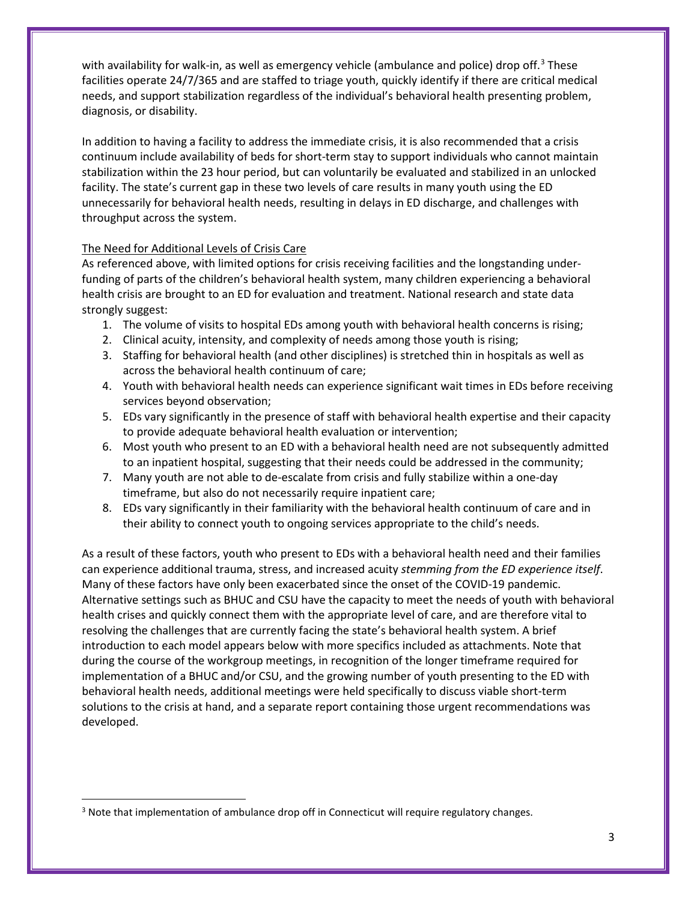with availability for walk-in, as well as emergency vehicle (ambulance and police) drop off.<sup>[3](#page-2-0)</sup> These facilities operate 24/7/365 and are staffed to triage youth, quickly identify if there are critical medical needs, and support stabilization regardless of the individual's behavioral health presenting problem, diagnosis, or disability.

In addition to having a facility to address the immediate crisis, it is also recommended that a crisis continuum include availability of beds for short-term stay to support individuals who cannot maintain stabilization within the 23 hour period, but can voluntarily be evaluated and stabilized in an unlocked facility. The state's current gap in these two levels of care results in many youth using the ED unnecessarily for behavioral health needs, resulting in delays in ED discharge, and challenges with throughput across the system.

### The Need for Additional Levels of Crisis Care

As referenced above, with limited options for crisis receiving facilities and the longstanding underfunding of parts of the children's behavioral health system, many children experiencing a behavioral health crisis are brought to an ED for evaluation and treatment. National research and state data strongly suggest:

- 1. The volume of visits to hospital EDs among youth with behavioral health concerns is rising;
- 2. Clinical acuity, intensity, and complexity of needs among those youth is rising;
- 3. Staffing for behavioral health (and other disciplines) is stretched thin in hospitals as well as across the behavioral health continuum of care;
- 4. Youth with behavioral health needs can experience significant wait times in EDs before receiving services beyond observation;
- 5. EDs vary significantly in the presence of staff with behavioral health expertise and their capacity to provide adequate behavioral health evaluation or intervention;
- 6. Most youth who present to an ED with a behavioral health need are not subsequently admitted to an inpatient hospital, suggesting that their needs could be addressed in the community;
- 7. Many youth are not able to de-escalate from crisis and fully stabilize within a one-day timeframe, but also do not necessarily require inpatient care;
- 8. EDs vary significantly in their familiarity with the behavioral health continuum of care and in their ability to connect youth to ongoing services appropriate to the child's needs.

As a result of these factors, youth who present to EDs with a behavioral health need and their families can experience additional trauma, stress, and increased acuity *stemming from the ED experience itself*. Many of these factors have only been exacerbated since the onset of the COVID-19 pandemic. Alternative settings such as BHUC and CSU have the capacity to meet the needs of youth with behavioral health crises and quickly connect them with the appropriate level of care, and are therefore vital to resolving the challenges that are currently facing the state's behavioral health system. A brief introduction to each model appears below with more specifics included as attachments. Note that during the course of the workgroup meetings, in recognition of the longer timeframe required for implementation of a BHUC and/or CSU, and the growing number of youth presenting to the ED with behavioral health needs, additional meetings were held specifically to discuss viable short-term solutions to the crisis at hand, and a separate report containing those urgent recommendations was developed.

<span id="page-2-0"></span><sup>&</sup>lt;sup>3</sup> Note that implementation of ambulance drop off in Connecticut will require regulatory changes.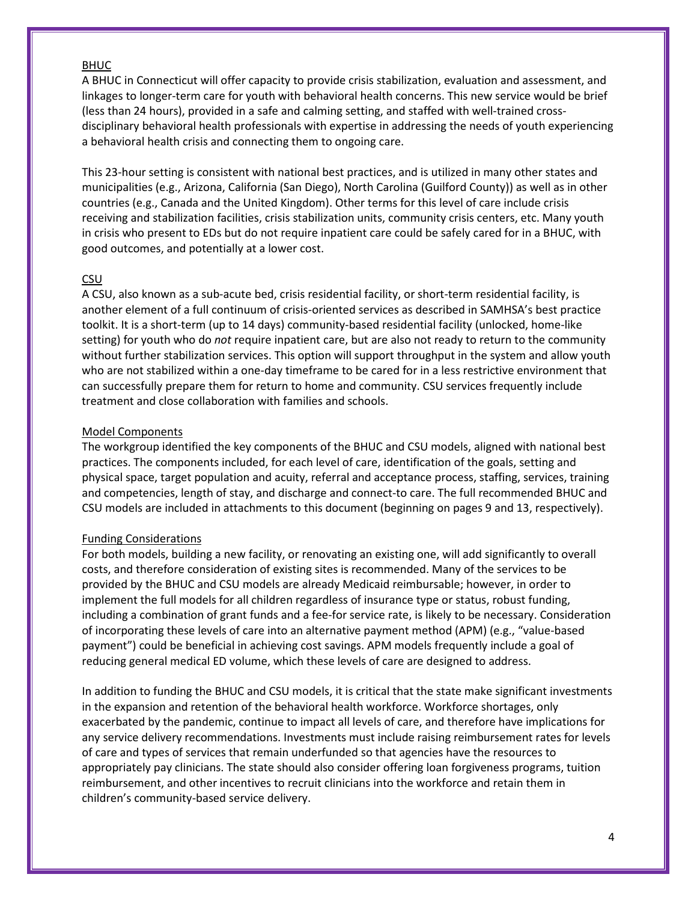#### BHUC

A BHUC in Connecticut will offer capacity to provide crisis stabilization, evaluation and assessment, and linkages to longer-term care for youth with behavioral health concerns. This new service would be brief (less than 24 hours), provided in a safe and calming setting, and staffed with well-trained crossdisciplinary behavioral health professionals with expertise in addressing the needs of youth experiencing a behavioral health crisis and connecting them to ongoing care.

This 23-hour setting is consistent with national best practices, and is utilized in many other states and municipalities (e.g., Arizona, California (San Diego), North Carolina (Guilford County)) as well as in other countries (e.g., Canada and the United Kingdom). Other terms for this level of care include crisis receiving and stabilization facilities, crisis stabilization units, community crisis centers, etc. Many youth in crisis who present to EDs but do not require inpatient care could be safely cared for in a BHUC, with good outcomes, and potentially at a lower cost.

#### CSU

A CSU, also known as a sub-acute bed, crisis residential facility, or short-term residential facility, is another element of a full continuum of crisis-oriented services as described in SAMHSA's best practice toolkit. It is a short-term (up to 14 days) community-based residential facility (unlocked, home-like setting) for youth who do *not* require inpatient care, but are also not ready to return to the community without further stabilization services. This option will support throughput in the system and allow youth who are not stabilized within a one-day timeframe to be cared for in a less restrictive environment that can successfully prepare them for return to home and community. CSU services frequently include treatment and close collaboration with families and schools.

#### Model Components

The workgroup identified the key components of the BHUC and CSU models, aligned with national best practices. The components included, for each level of care, identification of the goals, setting and physical space, target population and acuity, referral and acceptance process, staffing, services, training and competencies, length of stay, and discharge and connect-to care. The full recommended BHUC and CSU models are included in attachments to this document (beginning on pages 9 and 13, respectively).

#### Funding Considerations

For both models, building a new facility, or renovating an existing one, will add significantly to overall costs, and therefore consideration of existing sites is recommended. Many of the services to be provided by the BHUC and CSU models are already Medicaid reimbursable; however, in order to implement the full models for all children regardless of insurance type or status, robust funding, including a combination of grant funds and a fee-for service rate, is likely to be necessary. Consideration of incorporating these levels of care into an alternative payment method (APM) (e.g., "value-based payment") could be beneficial in achieving cost savings. APM models frequently include a goal of reducing general medical ED volume, which these levels of care are designed to address.

In addition to funding the BHUC and CSU models, it is critical that the state make significant investments in the expansion and retention of the behavioral health workforce. Workforce shortages, only exacerbated by the pandemic, continue to impact all levels of care, and therefore have implications for any service delivery recommendations. Investments must include raising reimbursement rates for levels of care and types of services that remain underfunded so that agencies have the resources to appropriately pay clinicians. The state should also consider offering loan forgiveness programs, tuition reimbursement, and other incentives to recruit clinicians into the workforce and retain them in children's community-based service delivery.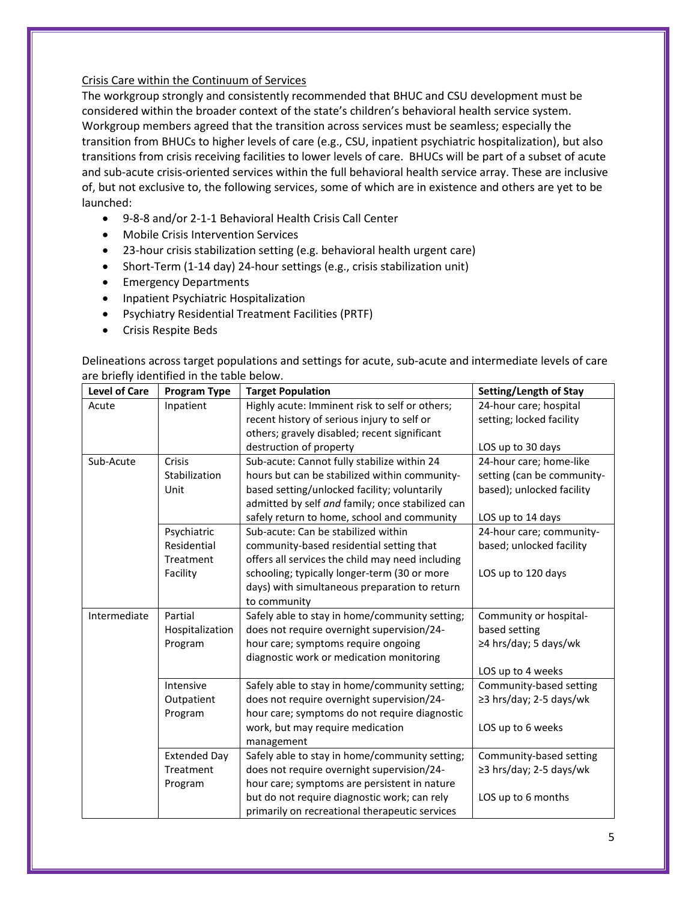#### Crisis Care within the Continuum of Services

The workgroup strongly and consistently recommended that BHUC and CSU development must be considered within the broader context of the state's children's behavioral health service system. Workgroup members agreed that the transition across services must be seamless; especially the transition from BHUCs to higher levels of care (e.g., CSU, inpatient psychiatric hospitalization), but also transitions from crisis receiving facilities to lower levels of care. BHUCs will be part of a subset of acute and sub-acute crisis-oriented services within the full behavioral health service array. These are inclusive of, but not exclusive to, the following services, some of which are in existence and others are yet to be launched:

- 9-8-8 and/or 2-1-1 Behavioral Health Crisis Call Center
- Mobile Crisis Intervention Services
- 23-hour crisis stabilization setting (e.g. behavioral health urgent care)
- Short-Term (1-14 day) 24-hour settings (e.g., crisis stabilization unit)
- Emergency Departments
- Inpatient Psychiatric Hospitalization
- Psychiatry Residential Treatment Facilities (PRTF)
- Crisis Respite Beds

Delineations across target populations and settings for acute, sub-acute and intermediate levels of care are briefly identified in the table below.

| <b>Level of Care</b> | <b>Program Type</b> | <b>Target Population</b>                         | Setting/Length of Stay     |
|----------------------|---------------------|--------------------------------------------------|----------------------------|
| Acute                | Inpatient           | Highly acute: Imminent risk to self or others;   | 24-hour care; hospital     |
|                      |                     | recent history of serious injury to self or      | setting; locked facility   |
|                      |                     | others; gravely disabled; recent significant     |                            |
|                      |                     | destruction of property                          | LOS up to 30 days          |
| Sub-Acute            | Crisis              | Sub-acute: Cannot fully stabilize within 24      | 24-hour care; home-like    |
|                      | Stabilization       | hours but can be stabilized within community-    | setting (can be community- |
|                      | Unit                | based setting/unlocked facility; voluntarily     | based); unlocked facility  |
|                      |                     | admitted by self and family; once stabilized can |                            |
|                      |                     | safely return to home, school and community      | LOS up to 14 days          |
|                      | Psychiatric         | Sub-acute: Can be stabilized within              | 24-hour care; community-   |
|                      | Residential         | community-based residential setting that         | based; unlocked facility   |
|                      | Treatment           | offers all services the child may need including |                            |
|                      | Facility            | schooling; typically longer-term (30 or more     | LOS up to 120 days         |
|                      |                     | days) with simultaneous preparation to return    |                            |
|                      |                     | to community                                     |                            |
| Intermediate         | Partial             | Safely able to stay in home/community setting;   | Community or hospital-     |
|                      | Hospitalization     | does not require overnight supervision/24-       | based setting              |
|                      | Program             | hour care; symptoms require ongoing              | ≥4 hrs/day; 5 days/wk      |
|                      |                     | diagnostic work or medication monitoring         |                            |
|                      |                     |                                                  | LOS up to 4 weeks          |
|                      | Intensive           | Safely able to stay in home/community setting;   | Community-based setting    |
|                      | Outpatient          | does not require overnight supervision/24-       | ≥3 hrs/day; 2-5 days/wk    |
|                      | Program             | hour care; symptoms do not require diagnostic    |                            |
|                      |                     | work, but may require medication                 | LOS up to 6 weeks          |
|                      |                     | management                                       |                            |
|                      | <b>Extended Day</b> | Safely able to stay in home/community setting;   | Community-based setting    |
|                      | Treatment           | does not require overnight supervision/24-       | ≥3 hrs/day; 2-5 days/wk    |
|                      | Program             | hour care; symptoms are persistent in nature     |                            |
|                      |                     | but do not require diagnostic work; can rely     | LOS up to 6 months         |
|                      |                     | primarily on recreational therapeutic services   |                            |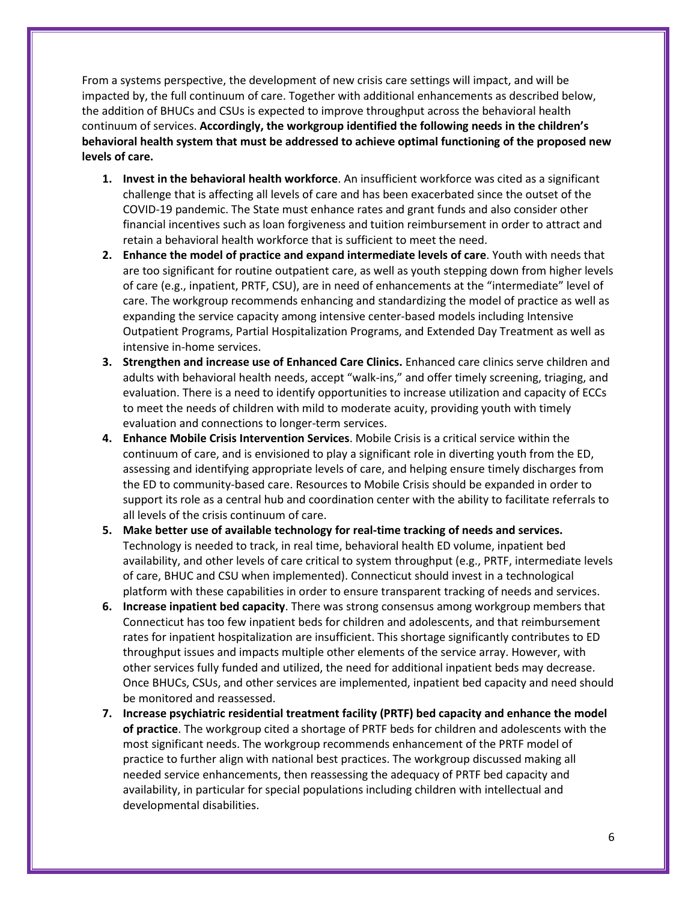From a systems perspective, the development of new crisis care settings will impact, and will be impacted by, the full continuum of care. Together with additional enhancements as described below, the addition of BHUCs and CSUs is expected to improve throughput across the behavioral health continuum of services. **Accordingly, the workgroup identified the following needs in the children's behavioral health system that must be addressed to achieve optimal functioning of the proposed new levels of care.**

- **1. Invest in the behavioral health workforce**. An insufficient workforce was cited as a significant challenge that is affecting all levels of care and has been exacerbated since the outset of the COVID-19 pandemic. The State must enhance rates and grant funds and also consider other financial incentives such as loan forgiveness and tuition reimbursement in order to attract and retain a behavioral health workforce that is sufficient to meet the need.
- **2. Enhance the model of practice and expand intermediate levels of care**. Youth with needs that are too significant for routine outpatient care, as well as youth stepping down from higher levels of care (e.g., inpatient, PRTF, CSU), are in need of enhancements at the "intermediate" level of care. The workgroup recommends enhancing and standardizing the model of practice as well as expanding the service capacity among intensive center-based models including Intensive Outpatient Programs, Partial Hospitalization Programs, and Extended Day Treatment as well as intensive in-home services.
- **3. Strengthen and increase use of Enhanced Care Clinics.** Enhanced care clinics serve children and adults with behavioral health needs, accept "walk-ins," and offer timely screening, triaging, and evaluation. There is a need to identify opportunities to increase utilization and capacity of ECCs to meet the needs of children with mild to moderate acuity, providing youth with timely evaluation and connections to longer-term services.
- **4. Enhance Mobile Crisis Intervention Services**. Mobile Crisis is a critical service within the continuum of care, and is envisioned to play a significant role in diverting youth from the ED, assessing and identifying appropriate levels of care, and helping ensure timely discharges from the ED to community-based care. Resources to Mobile Crisis should be expanded in order to support its role as a central hub and coordination center with the ability to facilitate referrals to all levels of the crisis continuum of care.
- **5. Make better use of available technology for real-time tracking of needs and services.**  Technology is needed to track, in real time, behavioral health ED volume, inpatient bed availability, and other levels of care critical to system throughput (e.g., PRTF, intermediate levels of care, BHUC and CSU when implemented). Connecticut should invest in a technological platform with these capabilities in order to ensure transparent tracking of needs and services.
- **6. Increase inpatient bed capacity**. There was strong consensus among workgroup members that Connecticut has too few inpatient beds for children and adolescents, and that reimbursement rates for inpatient hospitalization are insufficient. This shortage significantly contributes to ED throughput issues and impacts multiple other elements of the service array. However, with other services fully funded and utilized, the need for additional inpatient beds may decrease. Once BHUCs, CSUs, and other services are implemented, inpatient bed capacity and need should be monitored and reassessed.
- **7. Increase psychiatric residential treatment facility (PRTF) bed capacity and enhance the model of practice**. The workgroup cited a shortage of PRTF beds for children and adolescents with the most significant needs. The workgroup recommends enhancement of the PRTF model of practice to further align with national best practices. The workgroup discussed making all needed service enhancements, then reassessing the adequacy of PRTF bed capacity and availability, in particular for special populations including children with intellectual and developmental disabilities.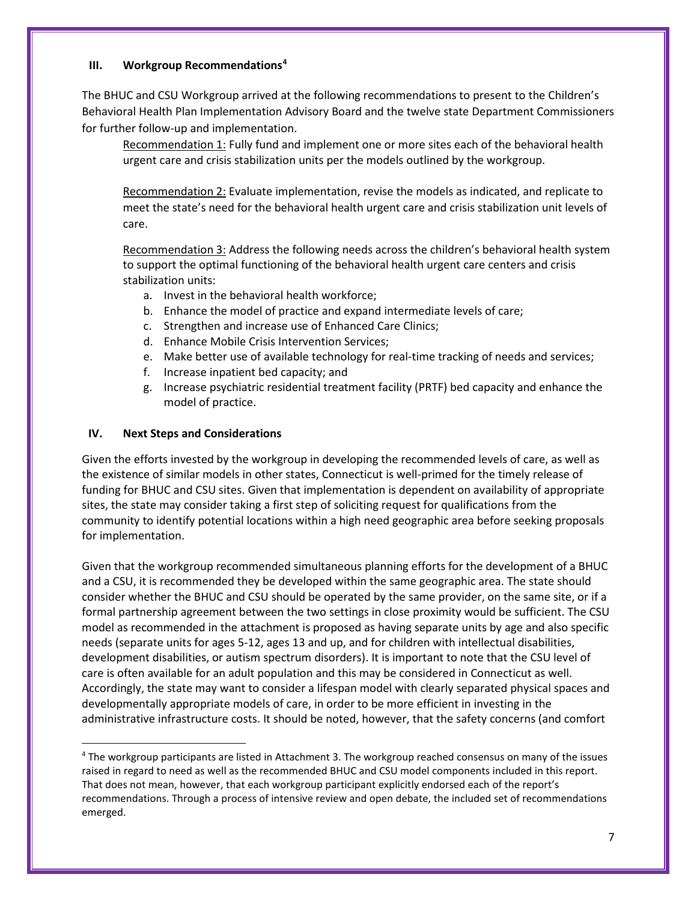#### **III. Workgroup Recommendations[4](#page-6-0)**

The BHUC and CSU Workgroup arrived at the following recommendations to present to the Children's Behavioral Health Plan Implementation Advisory Board and the twelve state Department Commissioners for further follow-up and implementation.

Recommendation 1: Fully fund and implement one or more sites each of the behavioral health urgent care and crisis stabilization units per the models outlined by the workgroup.

Recommendation 2: Evaluate implementation, revise the models as indicated, and replicate to meet the state's need for the behavioral health urgent care and crisis stabilization unit levels of care.

Recommendation 3: Address the following needs across the children's behavioral health system to support the optimal functioning of the behavioral health urgent care centers and crisis stabilization units:

- a. Invest in the behavioral health workforce;
- b. Enhance the model of practice and expand intermediate levels of care;
- c. Strengthen and increase use of Enhanced Care Clinics;
- d. Enhance Mobile Crisis Intervention Services;
- e. Make better use of available technology for real-time tracking of needs and services;
- f. Increase inpatient bed capacity; and
- g. Increase psychiatric residential treatment facility (PRTF) bed capacity and enhance the model of practice.

#### **IV. Next Steps and Considerations**

Given the efforts invested by the workgroup in developing the recommended levels of care, as well as the existence of similar models in other states, Connecticut is well-primed for the timely release of funding for BHUC and CSU sites. Given that implementation is dependent on availability of appropriate sites, the state may consider taking a first step of soliciting request for qualifications from the community to identify potential locations within a high need geographic area before seeking proposals for implementation.

Given that the workgroup recommended simultaneous planning efforts for the development of a BHUC and a CSU, it is recommended they be developed within the same geographic area. The state should consider whether the BHUC and CSU should be operated by the same provider, on the same site, or if a formal partnership agreement between the two settings in close proximity would be sufficient. The CSU model as recommended in the attachment is proposed as having separate units by age and also specific needs (separate units for ages 5-12, ages 13 and up, and for children with intellectual disabilities, development disabilities, or autism spectrum disorders). It is important to note that the CSU level of care is often available for an adult population and this may be considered in Connecticut as well. Accordingly, the state may want to consider a lifespan model with clearly separated physical spaces and developmentally appropriate models of care, in order to be more efficient in investing in the administrative infrastructure costs. It should be noted, however, that the safety concerns (and comfort

<span id="page-6-0"></span> <sup>4</sup> The workgroup participants are listed in Attachment 3. The workgroup reached consensus on many of the issues raised in regard to need as well as the recommended BHUC and CSU model components included in this report. That does not mean, however, that each workgroup participant explicitly endorsed each of the report's recommendations. Through a process of intensive review and open debate, the included set of recommendations emerged.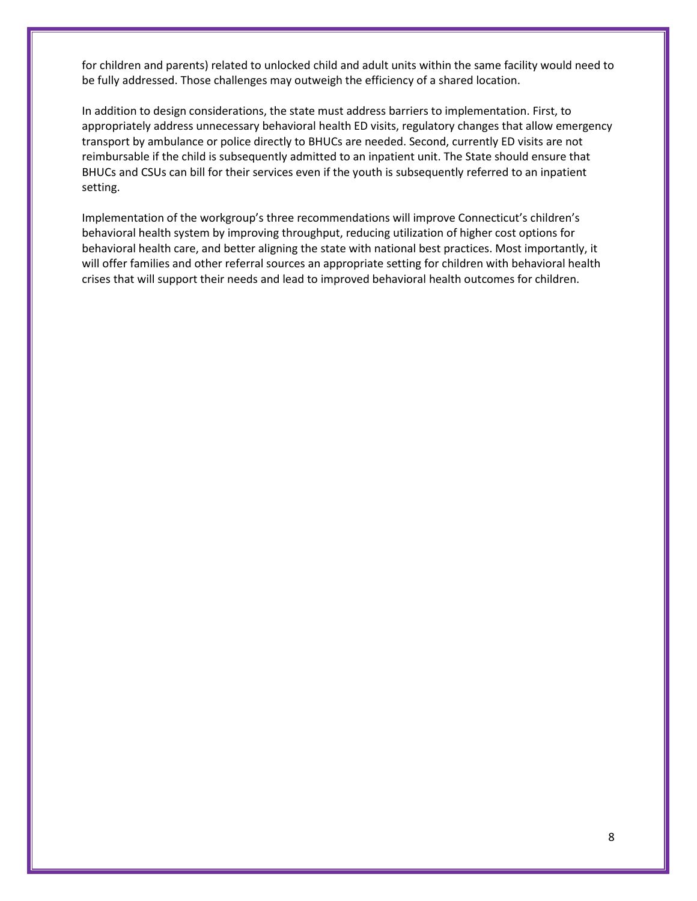for children and parents) related to unlocked child and adult units within the same facility would need to be fully addressed. Those challenges may outweigh the efficiency of a shared location.

In addition to design considerations, the state must address barriers to implementation. First, to appropriately address unnecessary behavioral health ED visits, regulatory changes that allow emergency transport by ambulance or police directly to BHUCs are needed. Second, currently ED visits are not reimbursable if the child is subsequently admitted to an inpatient unit. The State should ensure that BHUCs and CSUs can bill for their services even if the youth is subsequently referred to an inpatient setting.

Implementation of the workgroup's three recommendations will improve Connecticut's children's behavioral health system by improving throughput, reducing utilization of higher cost options for behavioral health care, and better aligning the state with national best practices. Most importantly, it will offer families and other referral sources an appropriate setting for children with behavioral health crises that will support their needs and lead to improved behavioral health outcomes for children.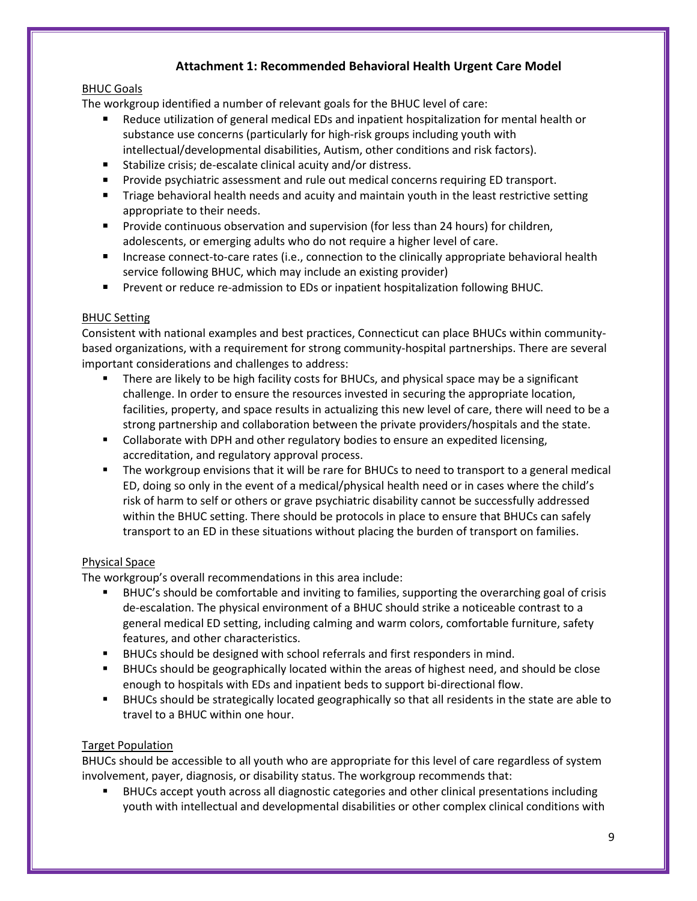# **Attachment 1: Recommended Behavioral Health Urgent Care Model**

### BHUC Goals

The workgroup identified a number of relevant goals for the BHUC level of care:

- Reduce utilization of general medical EDs and inpatient hospitalization for mental health or substance use concerns (particularly for high-risk groups including youth with intellectual/developmental disabilities, Autism, other conditions and risk factors).
- Stabilize crisis; de-escalate clinical acuity and/or distress.
- **Provide psychiatric assessment and rule out medical concerns requiring ED transport.**
- **The Triage behavioral health needs and acuity and maintain youth in the least restrictive setting** appropriate to their needs.
- **Provide continuous observation and supervision (for less than 24 hours) for children,** adolescents, or emerging adults who do not require a higher level of care.
- **Increase connect-to-care rates (i.e., connection to the clinically appropriate behavioral health** service following BHUC, which may include an existing provider)
- **Prevent or reduce re-admission to EDs or inpatient hospitalization following BHUC.**

### BHUC Setting

Consistent with national examples and best practices, Connecticut can place BHUCs within communitybased organizations, with a requirement for strong community-hospital partnerships. There are several important considerations and challenges to address:

- There are likely to be high facility costs for BHUCs, and physical space may be a significant challenge. In order to ensure the resources invested in securing the appropriate location, facilities, property, and space results in actualizing this new level of care, there will need to be a strong partnership and collaboration between the private providers/hospitals and the state.
- **Collaborate with DPH and other regulatory bodies to ensure an expedited licensing,** accreditation, and regulatory approval process.
- The workgroup envisions that it will be rare for BHUCs to need to transport to a general medical ED, doing so only in the event of a medical/physical health need or in cases where the child's risk of harm to self or others or grave psychiatric disability cannot be successfully addressed within the BHUC setting. There should be protocols in place to ensure that BHUCs can safely transport to an ED in these situations without placing the burden of transport on families.

## Physical Space

The workgroup's overall recommendations in this area include:

- BHUC's should be comfortable and inviting to families, supporting the overarching goal of crisis de-escalation. The physical environment of a BHUC should strike a noticeable contrast to a general medical ED setting, including calming and warm colors, comfortable furniture, safety features, and other characteristics.
- BHUCs should be designed with school referrals and first responders in mind.
- BHUCs should be geographically located within the areas of highest need, and should be close enough to hospitals with EDs and inpatient beds to support bi-directional flow.
- BHUCs should be strategically located geographically so that all residents in the state are able to travel to a BHUC within one hour.

#### Target Population

BHUCs should be accessible to all youth who are appropriate for this level of care regardless of system involvement, payer, diagnosis, or disability status. The workgroup recommends that:

 BHUCs accept youth across all diagnostic categories and other clinical presentations including youth with intellectual and developmental disabilities or other complex clinical conditions with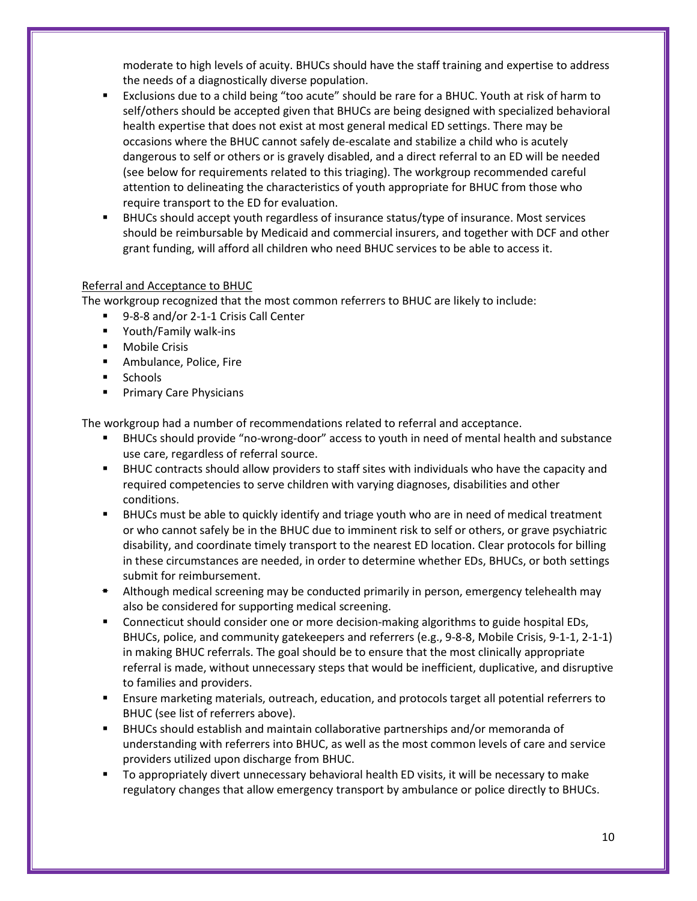moderate to high levels of acuity. BHUCs should have the staff training and expertise to address the needs of a diagnostically diverse population.

- Exclusions due to a child being "too acute" should be rare for a BHUC. Youth at risk of harm to self/others should be accepted given that BHUCs are being designed with specialized behavioral health expertise that does not exist at most general medical ED settings. There may be occasions where the BHUC cannot safely de-escalate and stabilize a child who is acutely dangerous to self or others or is gravely disabled, and a direct referral to an ED will be needed (see below for requirements related to this triaging). The workgroup recommended careful attention to delineating the characteristics of youth appropriate for BHUC from those who require transport to the ED for evaluation.
- BHUCs should accept youth regardless of insurance status/type of insurance. Most services should be reimbursable by Medicaid and commercial insurers, and together with DCF and other grant funding, will afford all children who need BHUC services to be able to access it.

#### Referral and Acceptance to BHUC

The workgroup recognized that the most common referrers to BHUC are likely to include:

- 9-8-8 and/or 2-1-1 Crisis Call Center
- Youth/Family walk-ins
- **Mobile Crisis**
- **Ambulance, Police, Fire**
- **Schools**
- **Primary Care Physicians**

The workgroup had a number of recommendations related to referral and acceptance.

- BHUCs should provide "no-wrong-door" access to youth in need of mental health and substance use care, regardless of referral source.
- BHUC contracts should allow providers to staff sites with individuals who have the capacity and required competencies to serve children with varying diagnoses, disabilities and other conditions.
- BHUCs must be able to quickly identify and triage youth who are in need of medical treatment or who cannot safely be in the BHUC due to imminent risk to self or others, or grave psychiatric disability, and coordinate timely transport to the nearest ED location. Clear protocols for billing in these circumstances are needed, in order to determine whether EDs, BHUCs, or both settings submit for reimbursement.
- **E** Although medical screening may be conducted primarily in person, emergency telehealth may also be considered for supporting medical screening.
- **Connecticut should consider one or more decision-making algorithms to guide hospital EDs,** BHUCs, police, and community gatekeepers and referrers (e.g., 9-8-8, Mobile Crisis, 9-1-1, 2-1-1) in making BHUC referrals. The goal should be to ensure that the most clinically appropriate referral is made, without unnecessary steps that would be inefficient, duplicative, and disruptive to families and providers.
- Ensure marketing materials, outreach, education, and protocols target all potential referrers to BHUC (see list of referrers above).
- BHUCs should establish and maintain collaborative partnerships and/or memoranda of understanding with referrers into BHUC, as well as the most common levels of care and service providers utilized upon discharge from BHUC.
- To appropriately divert unnecessary behavioral health ED visits, it will be necessary to make regulatory changes that allow emergency transport by ambulance or police directly to BHUCs.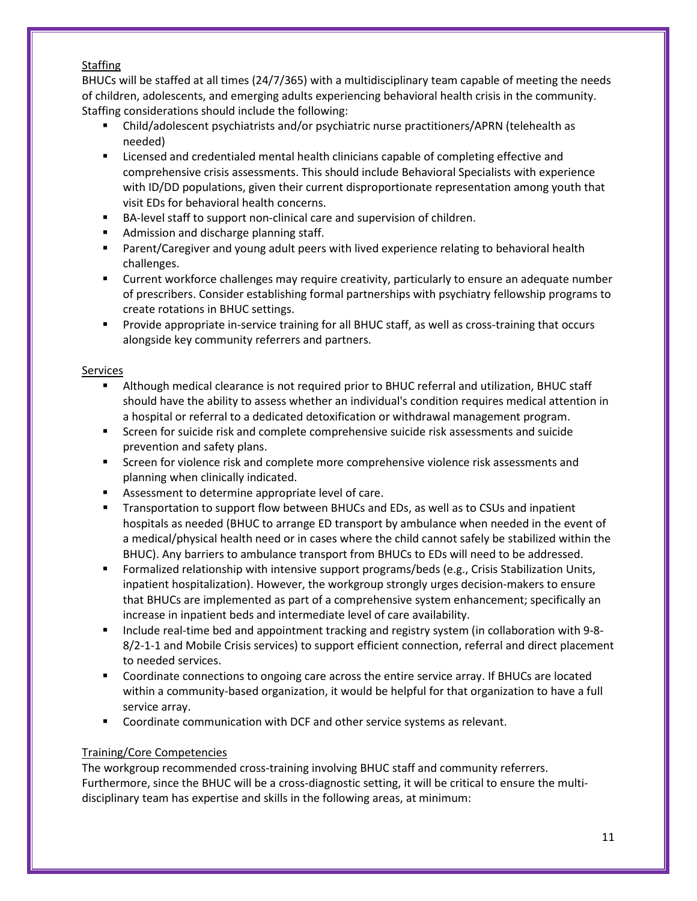#### **Staffing**

BHUCs will be staffed at all times (24/7/365) with a multidisciplinary team capable of meeting the needs of children, adolescents, and emerging adults experiencing behavioral health crisis in the community. Staffing considerations should include the following:

- Child/adolescent psychiatrists and/or psychiatric nurse practitioners/APRN (telehealth as needed)
- **EXECT** Licensed and credentialed mental health clinicians capable of completing effective and comprehensive crisis assessments. This should include Behavioral Specialists with experience with ID/DD populations, given their current disproportionate representation among youth that visit EDs for behavioral health concerns.
- BA-level staff to support non-clinical care and supervision of children.
- **Admission and discharge planning staff.**
- Parent/Caregiver and young adult peers with lived experience relating to behavioral health challenges.
- Current workforce challenges may require creativity, particularly to ensure an adequate number of prescribers. Consider establishing formal partnerships with psychiatry fellowship programs to create rotations in BHUC settings.
- **Provide appropriate in-service training for all BHUC staff, as well as cross-training that occurs** alongside key community referrers and partners.

#### Services

- Although medical clearance is not required prior to BHUC referral and utilization, BHUC staff should have the ability to assess whether an individual's condition requires medical attention in a hospital or referral to a dedicated detoxification or withdrawal management program.
- **Screen for suicide risk and complete comprehensive suicide risk assessments and suicide** prevention and safety plans.
- **Screen for violence risk and complete more comprehensive violence risk assessments and** planning when clinically indicated.
- **Assessment to determine appropriate level of care.**
- Transportation to support flow between BHUCs and EDs, as well as to CSUs and inpatient hospitals as needed (BHUC to arrange ED transport by ambulance when needed in the event of a medical/physical health need or in cases where the child cannot safely be stabilized within the BHUC). Any barriers to ambulance transport from BHUCs to EDs will need to be addressed.
- **Formalized relationship with intensive support programs/beds (e.g., Crisis Stabilization Units,** inpatient hospitalization). However, the workgroup strongly urges decision-makers to ensure that BHUCs are implemented as part of a comprehensive system enhancement; specifically an increase in inpatient beds and intermediate level of care availability.
- Include real-time bed and appointment tracking and registry system (in collaboration with 9-8-8/2-1-1 and Mobile Crisis services) to support efficient connection, referral and direct placement to needed services.
- Coordinate connections to ongoing care across the entire service array. If BHUCs are located within a community-based organization, it would be helpful for that organization to have a full service array.
- **Coordinate communication with DCF and other service systems as relevant.**

#### Training/Core Competencies

The workgroup recommended cross-training involving BHUC staff and community referrers. Furthermore, since the BHUC will be a cross-diagnostic setting, it will be critical to ensure the multidisciplinary team has expertise and skills in the following areas, at minimum: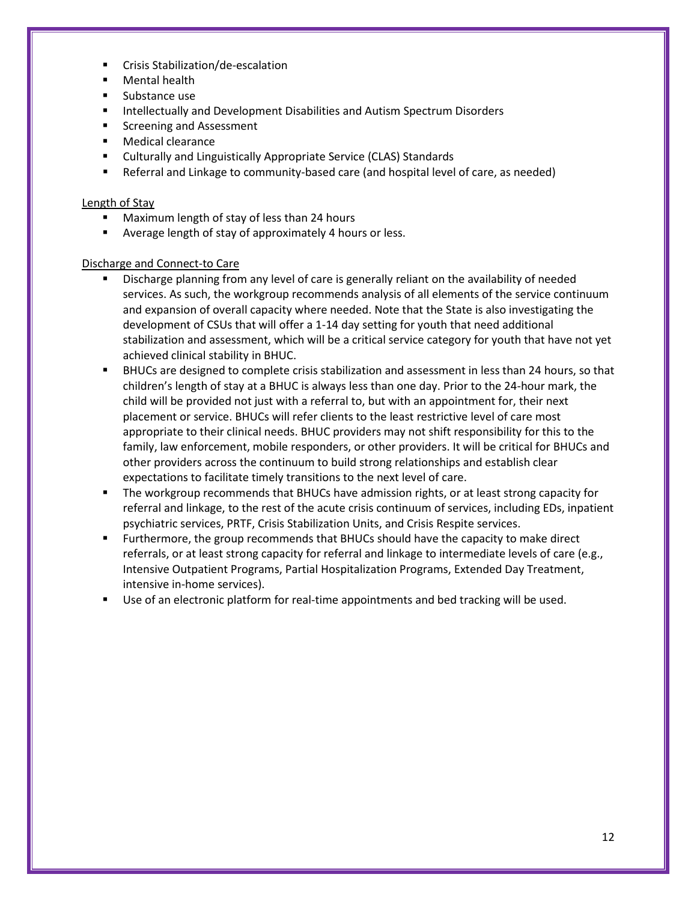- Crisis Stabilization/de-escalation
- Mental health
- **Substance use**
- **Intellectually and Development Disabilities and Autism Spectrum Disorders**
- Screening and Assessment
- Medical clearance
- Culturally and Linguistically Appropriate Service (CLAS) Standards
- Referral and Linkage to community-based care (and hospital level of care, as needed)

#### Length of Stay

- Maximum length of stay of less than 24 hours
- Average length of stay of approximately 4 hours or less.

#### Discharge and Connect-to Care

- Discharge planning from any level of care is generally reliant on the availability of needed services. As such, the workgroup recommends analysis of all elements of the service continuum and expansion of overall capacity where needed. Note that the State is also investigating the development of CSUs that will offer a 1-14 day setting for youth that need additional stabilization and assessment, which will be a critical service category for youth that have not yet achieved clinical stability in BHUC.
- BHUCs are designed to complete crisis stabilization and assessment in less than 24 hours, so that children's length of stay at a BHUC is always less than one day. Prior to the 24-hour mark, the child will be provided not just with a referral to, but with an appointment for, their next placement or service. BHUCs will refer clients to the least restrictive level of care most appropriate to their clinical needs. BHUC providers may not shift responsibility for this to the family, law enforcement, mobile responders, or other providers. It will be critical for BHUCs and other providers across the continuum to build strong relationships and establish clear expectations to facilitate timely transitions to the next level of care.
- The workgroup recommends that BHUCs have admission rights, or at least strong capacity for referral and linkage, to the rest of the acute crisis continuum of services, including EDs, inpatient psychiatric services, PRTF, Crisis Stabilization Units, and Crisis Respite services.
- Furthermore, the group recommends that BHUCs should have the capacity to make direct referrals, or at least strong capacity for referral and linkage to intermediate levels of care (e.g., Intensive Outpatient Programs, Partial Hospitalization Programs, Extended Day Treatment, intensive in-home services).
- Use of an electronic platform for real-time appointments and bed tracking will be used.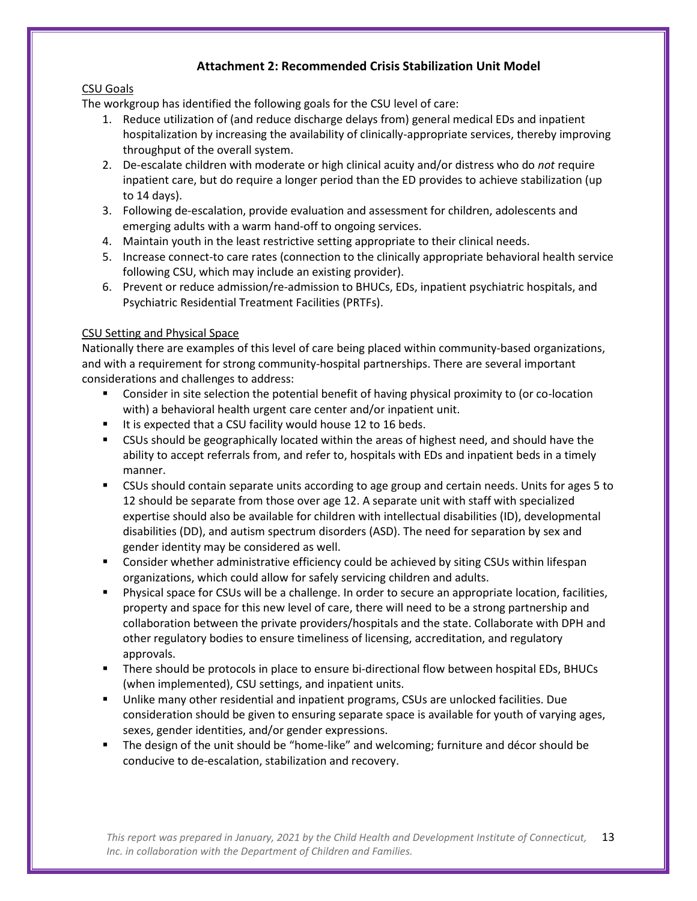# **Attachment 2: Recommended Crisis Stabilization Unit Model**

### CSU Goals

The workgroup has identified the following goals for the CSU level of care:

- 1. Reduce utilization of (and reduce discharge delays from) general medical EDs and inpatient hospitalization by increasing the availability of clinically-appropriate services, thereby improving throughput of the overall system.
- 2. De-escalate children with moderate or high clinical acuity and/or distress who do *not* require inpatient care, but do require a longer period than the ED provides to achieve stabilization (up to 14 days).
- 3. Following de-escalation, provide evaluation and assessment for children, adolescents and emerging adults with a warm hand-off to ongoing services.
- 4. Maintain youth in the least restrictive setting appropriate to their clinical needs.
- 5. Increase connect-to care rates (connection to the clinically appropriate behavioral health service following CSU, which may include an existing provider).
- 6. Prevent or reduce admission/re-admission to BHUCs, EDs, inpatient psychiatric hospitals, and Psychiatric Residential Treatment Facilities (PRTFs).

### CSU Setting and Physical Space

Nationally there are examples of this level of care being placed within community-based organizations, and with a requirement for strong community-hospital partnerships. There are several important considerations and challenges to address:

- Consider in site selection the potential benefit of having physical proximity to (or co-location with) a behavioral health urgent care center and/or inpatient unit.
- It is expected that a CSU facility would house 12 to 16 beds.
- CSUs should be geographically located within the areas of highest need, and should have the ability to accept referrals from, and refer to, hospitals with EDs and inpatient beds in a timely manner.
- CSUs should contain separate units according to age group and certain needs. Units for ages 5 to 12 should be separate from those over age 12. A separate unit with staff with specialized expertise should also be available for children with intellectual disabilities (ID), developmental disabilities (DD), and autism spectrum disorders (ASD). The need for separation by sex and gender identity may be considered as well.
- **EXP** Consider whether administrative efficiency could be achieved by siting CSUs within lifespan organizations, which could allow for safely servicing children and adults.
- Physical space for CSUs will be a challenge. In order to secure an appropriate location, facilities, property and space for this new level of care, there will need to be a strong partnership and collaboration between the private providers/hospitals and the state. Collaborate with DPH and other regulatory bodies to ensure timeliness of licensing, accreditation, and regulatory approvals.
- There should be protocols in place to ensure bi-directional flow between hospital EDs, BHUCs (when implemented), CSU settings, and inpatient units.
- Unlike many other residential and inpatient programs, CSUs are unlocked facilities. Due consideration should be given to ensuring separate space is available for youth of varying ages, sexes, gender identities, and/or gender expressions.
- The design of the unit should be "home-like" and welcoming; furniture and décor should be conducive to de-escalation, stabilization and recovery.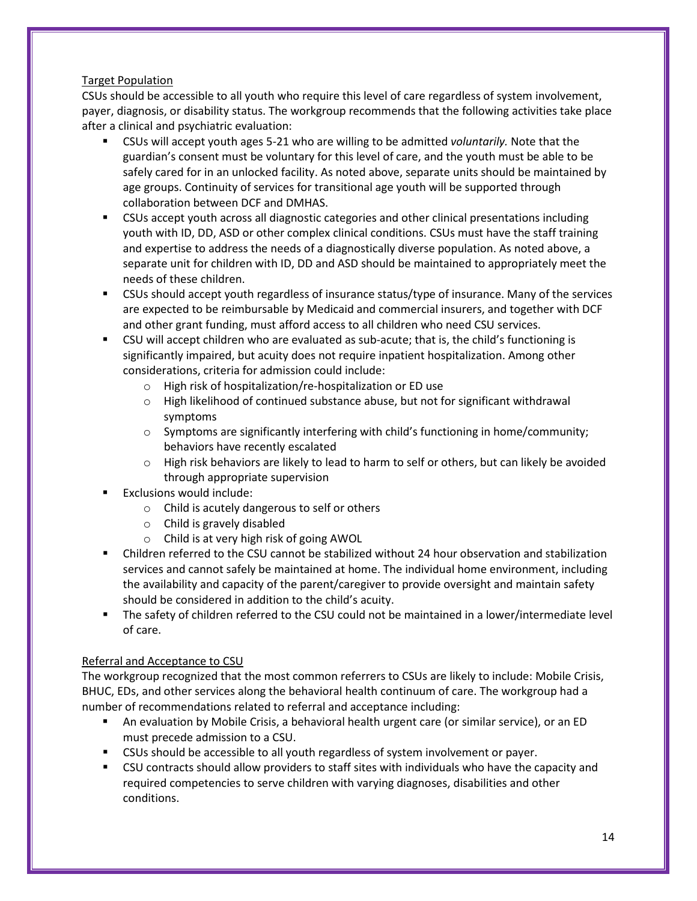### Target Population

CSUs should be accessible to all youth who require this level of care regardless of system involvement, payer, diagnosis, or disability status. The workgroup recommends that the following activities take place after a clinical and psychiatric evaluation:

- CSUs will accept youth ages 5-21 who are willing to be admitted *voluntarily.* Note that the guardian's consent must be voluntary for this level of care, and the youth must be able to be safely cared for in an unlocked facility. As noted above, separate units should be maintained by age groups. Continuity of services for transitional age youth will be supported through collaboration between DCF and DMHAS.
- **EXUS accept youth across all diagnostic categories and other clinical presentations including** youth with ID, DD, ASD or other complex clinical conditions. CSUs must have the staff training and expertise to address the needs of a diagnostically diverse population. As noted above, a separate unit for children with ID, DD and ASD should be maintained to appropriately meet the needs of these children.
- **EXUS Should accept youth regardless of insurance status/type of insurance. Many of the services** are expected to be reimbursable by Medicaid and commercial insurers, and together with DCF and other grant funding, must afford access to all children who need CSU services.
- CSU will accept children who are evaluated as sub-acute; that is, the child's functioning is significantly impaired, but acuity does not require inpatient hospitalization. Among other considerations, criteria for admission could include:
	- o High risk of hospitalization/re-hospitalization or ED use
	- $\circ$  High likelihood of continued substance abuse, but not for significant withdrawal symptoms
	- $\circ$  Symptoms are significantly interfering with child's functioning in home/community; behaviors have recently escalated
	- $\circ$  High risk behaviors are likely to lead to harm to self or others, but can likely be avoided through appropriate supervision
- Exclusions would include:
	- o Child is acutely dangerous to self or others
	- o Child is gravely disabled
	- o Child is at very high risk of going AWOL
- Children referred to the CSU cannot be stabilized without 24 hour observation and stabilization services and cannot safely be maintained at home. The individual home environment, including the availability and capacity of the parent/caregiver to provide oversight and maintain safety should be considered in addition to the child's acuity.
- The safety of children referred to the CSU could not be maintained in a lower/intermediate level of care.

#### Referral and Acceptance to CSU

The workgroup recognized that the most common referrers to CSUs are likely to include: Mobile Crisis, BHUC, EDs, and other services along the behavioral health continuum of care. The workgroup had a number of recommendations related to referral and acceptance including:

- An evaluation by Mobile Crisis, a behavioral health urgent care (or similar service), or an ED must precede admission to a CSU.
- CSUs should be accessible to all youth regardless of system involvement or payer.
- CSU contracts should allow providers to staff sites with individuals who have the capacity and required competencies to serve children with varying diagnoses, disabilities and other conditions.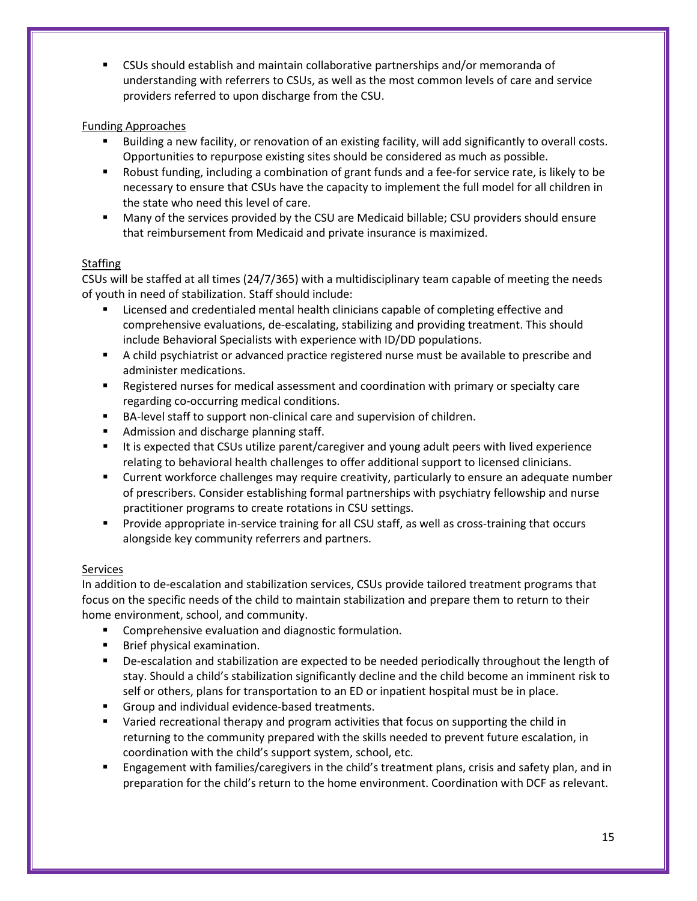CSUs should establish and maintain collaborative partnerships and/or memoranda of understanding with referrers to CSUs, as well as the most common levels of care and service providers referred to upon discharge from the CSU.

### Funding Approaches

- Building a new facility, or renovation of an existing facility, will add significantly to overall costs. Opportunities to repurpose existing sites should be considered as much as possible.
- Robust funding, including a combination of grant funds and a fee-for service rate, is likely to be necessary to ensure that CSUs have the capacity to implement the full model for all children in the state who need this level of care.
- Many of the services provided by the CSU are Medicaid billable; CSU providers should ensure that reimbursement from Medicaid and private insurance is maximized.

### **Staffing**

CSUs will be staffed at all times (24/7/365) with a multidisciplinary team capable of meeting the needs of youth in need of stabilization. Staff should include:

- Licensed and credentialed mental health clinicians capable of completing effective and comprehensive evaluations, de-escalating, stabilizing and providing treatment. This should include Behavioral Specialists with experience with ID/DD populations.
- A child psychiatrist or advanced practice registered nurse must be available to prescribe and administer medications.
- **EXE** Registered nurses for medical assessment and coordination with primary or specialty care regarding co-occurring medical conditions.
- BA-level staff to support non-clinical care and supervision of children.
- **Admission and discharge planning staff.**
- It is expected that CSUs utilize parent/caregiver and young adult peers with lived experience relating to behavioral health challenges to offer additional support to licensed clinicians.
- Current workforce challenges may require creativity, particularly to ensure an adequate number of prescribers. Consider establishing formal partnerships with psychiatry fellowship and nurse practitioner programs to create rotations in CSU settings.
- **Provide appropriate in-service training for all CSU staff, as well as cross-training that occurs** alongside key community referrers and partners.

#### **Services**

In addition to de-escalation and stabilization services, CSUs provide tailored treatment programs that focus on the specific needs of the child to maintain stabilization and prepare them to return to their home environment, school, and community.

- **EXP** Comprehensive evaluation and diagnostic formulation.
- **Brief physical examination.**
- **•** De-escalation and stabilization are expected to be needed periodically throughout the length of stay. Should a child's stabilization significantly decline and the child become an imminent risk to self or others, plans for transportation to an ED or inpatient hospital must be in place.
- Group and individual evidence-based treatments.
- **U** Varied recreational therapy and program activities that focus on supporting the child in returning to the community prepared with the skills needed to prevent future escalation, in coordination with the child's support system, school, etc.
- Engagement with families/caregivers in the child's treatment plans, crisis and safety plan, and in preparation for the child's return to the home environment. Coordination with DCF as relevant.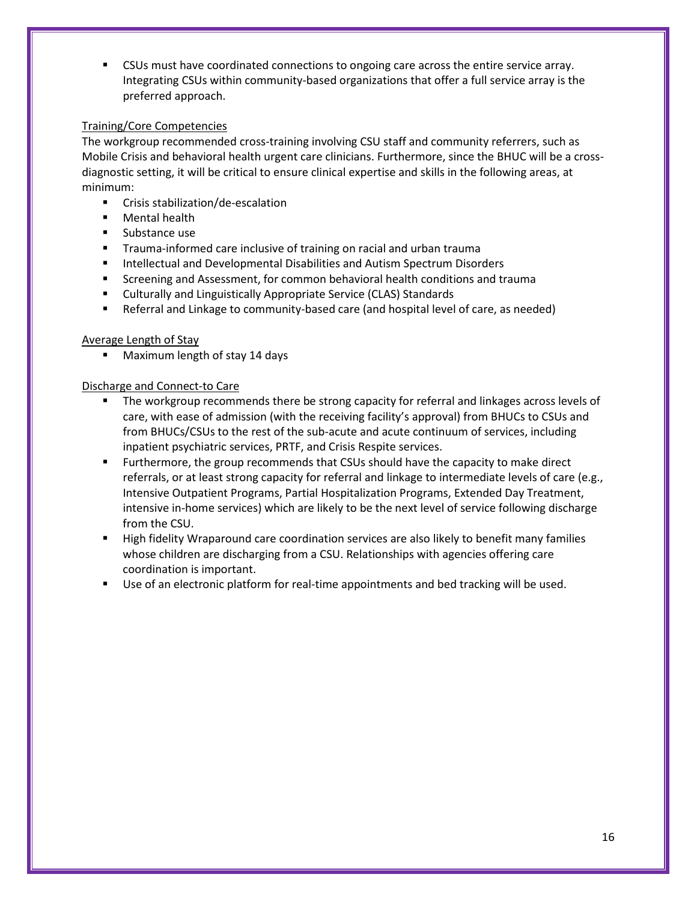CSUs must have coordinated connections to ongoing care across the entire service array. Integrating CSUs within community-based organizations that offer a full service array is the preferred approach.

#### Training/Core Competencies

The workgroup recommended cross-training involving CSU staff and community referrers, such as Mobile Crisis and behavioral health urgent care clinicians. Furthermore, since the BHUC will be a crossdiagnostic setting, it will be critical to ensure clinical expertise and skills in the following areas, at minimum:

- **EXEC** Crisis stabilization/de-escalation
- **Mental health**
- **Substance use**
- **Trauma-informed care inclusive of training on racial and urban trauma**
- **Intellectual and Developmental Disabilities and Autism Spectrum Disorders**
- Screening and Assessment, for common behavioral health conditions and trauma
- Culturally and Linguistically Appropriate Service (CLAS) Standards
- Referral and Linkage to community-based care (and hospital level of care, as needed)

#### Average Length of Stay

**Maximum length of stay 14 days** 

#### Discharge and Connect-to Care

- The workgroup recommends there be strong capacity for referral and linkages across levels of care, with ease of admission (with the receiving facility's approval) from BHUCs to CSUs and from BHUCs/CSUs to the rest of the sub-acute and acute continuum of services, including inpatient psychiatric services, PRTF, and Crisis Respite services.
- **Furthermore, the group recommends that CSUs should have the capacity to make direct** referrals, or at least strong capacity for referral and linkage to intermediate levels of care (e.g., Intensive Outpatient Programs, Partial Hospitalization Programs, Extended Day Treatment, intensive in-home services) which are likely to be the next level of service following discharge from the CSU.
- **High fidelity Wraparound care coordination services are also likely to benefit many families** whose children are discharging from a CSU. Relationships with agencies offering care coordination is important.
- Use of an electronic platform for real-time appointments and bed tracking will be used.